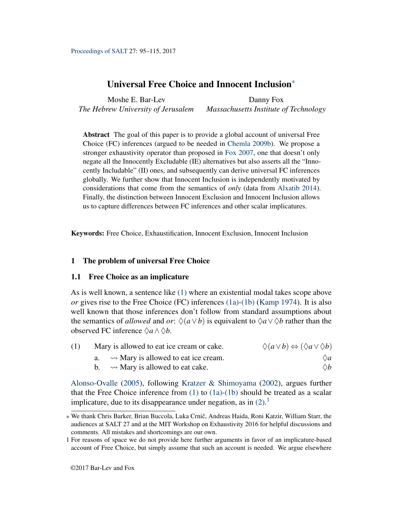<span id="page-0-4"></span>Moshe E. Bar-Lev *The Hebrew University of Jerusalem* Danny Fox *Massachusetts Institute of Technology*

Abstract The goal of this paper is to provide a global account of universal Free Choice (FC) inferences (argued to be needed in [Chemla](#page-18-0) [2009b\)](#page-18-0). We propose a stronger exhaustivity operator than proposed in [Fox](#page-18-1) [2007,](#page-18-1) one that doesn't only negate all the Innocently Excludable (IE) alternatives but also asserts all the "Innocently Includable" (II) ones, and subsequently can derive universal FC inferences globally. We further show that Innocent Inclusion is independently motivated by considerations that come from the semantics of *only* (data from [Alxatib](#page-18-2) [2014\)](#page-18-2). Finally, the distinction between Innocent Exclusion and Innocent Inclusion allows us to capture differences between FC inferences and other scalar implicatures.

Keywords: Free Choice, Exhaustification, Innocent Exclusion, Innocent Inclusion

# 1 The problem of universal Free Choice

# 1.1 Free Choice as an implicature

As is well known, a sentence like [\(1\)](#page-0-0) where an existential modal takes scope above *or* gives rise to the Free Choice (FC) inferences [\(1a\)-](#page-0-1)[\(1b\)](#page-0-2) [\(Kamp](#page-19-0) [1974\)](#page-19-0). It is also well known that those inferences don't follow from standard assumptions about the semantics of *allowed* and *or*:  $\Diamond(a \vee b)$  is equivalent to  $\Diamond a \vee \Diamond b$  rather than the observed FC inference  $\Diamond a \land \Diamond b$ .

<span id="page-0-1"></span><span id="page-0-0"></span>

| Mary is allowed to eat ice cream or cake.            | $\Diamond(a \vee b) \Leftrightarrow (\Diamond a \vee \Diamond b)$ |
|------------------------------------------------------|-------------------------------------------------------------------|
| $\rightsquigarrow$ Mary is allowed to eat ice cream. | $\Diamond a$                                                      |

b.  $\rightarrow$  Mary is allowed to eat cake.  $\Diamond b$ 

<span id="page-0-2"></span>[Alonso-Ovalle](#page-18-3) [\(2005\)](#page-18-3), following [Kratzer & Shimoyama](#page-19-1) [\(2002\)](#page-19-1), argues further that the Free Choice inference from  $(1)$  to  $(1a)-(1b)$  $(1a)-(1b)$  should be treated as a scalar implicature, due to its disappearance under negation, as in  $(2)$ .<sup>1</sup>

<span id="page-0-3"></span><sup>\*</sup> We thank Chris Barker, Brian Buccola, Luka Crnic, Andreas Haida, Roni Katzir, William Starr, the ˇ audiences at SALT 27 and at the MIT Workshop on Exhaustivity 2016 for helpful discussions and comments. All mistakes and shortcomings are our own.

<sup>1</sup> For reasons of space we do not provide here further arguments in favor of an implicature-based account of Free Choice, but simply assume that such an account is needed. We argue elsewhere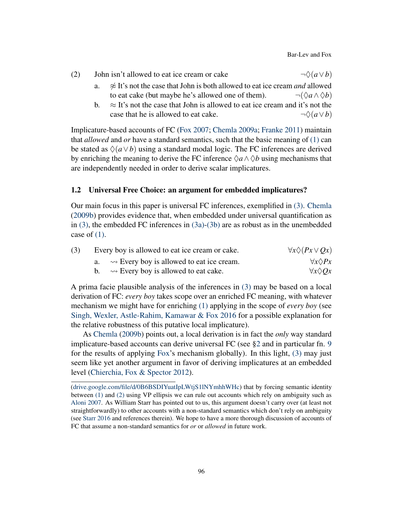Bar-Lev and Fox

| (2) | John isn't allowed to eat ice cream or cake | $\neg \Diamond (a \vee b)$ |
|-----|---------------------------------------------|----------------------------|
|-----|---------------------------------------------|----------------------------|

- a.  $\approx$  It's not the case that John is both allowed to eat ice cream *and* allowed to eat cake (but maybe he's allowed one of them).  $\neg(\Diamond a \land \Diamond b)$
- b.  $\approx$  It's not the case that John is allowed to eat ice cream and it's not the case that he is allowed to eat cake.  $\neg \Diamond (a \lor b)$

Implicature-based accounts of FC [\(Fox](#page-18-1) [2007;](#page-18-1) [Chemla](#page-18-4) [2009a;](#page-18-4) [Franke](#page-19-2) [2011\)](#page-19-2) maintain that *allowed* and *or* have a standard semantics, such that the basic meaning of [\(1\)](#page-0-0) can be stated as  $\Diamond(a \lor b)$  using a standard modal logic. The FC inferences are derived by enriching the meaning to derive the FC inference  $\Diamond a \land \Diamond b$  using mechanisms that are independently needed in order to derive scalar implicatures.

# 1.2 Universal Free Choice: an argument for embedded implicatures?

Our main focus in this paper is universal FC inferences, exemplified in [\(3\).](#page-1-0) [Chemla](#page-18-0) [\(2009b\)](#page-18-0) provides evidence that, when embedded under universal quantification as in [\(3\),](#page-1-0) the embedded FC inferences in [\(3a\)-](#page-1-1)[\(3b\)](#page-1-2) are as robust as in the unembedded case of  $(1)$ .

<span id="page-1-1"></span><span id="page-1-0"></span>

| (3) | Every boy is allowed to eat ice cream or cake. |                                                           | $\forall x \Diamond (Px \lor Qx)$ |  |
|-----|------------------------------------------------|-----------------------------------------------------------|-----------------------------------|--|
|     | а.                                             | $\rightsquigarrow$ Every boy is allowed to eat ice cream. | $\forall x \Diamond Px$           |  |
|     |                                                | $\rightsquigarrow$ Every boy is allowed to eat cake.      | $\forall x \Diamond Qx$           |  |

<span id="page-1-2"></span>A prima facie plausible analysis of the inferences in [\(3\)](#page-1-0) may be based on a local derivation of FC: *every boy* takes scope over an enriched FC meaning, with whatever mechanism we might have for enriching [\(1\)](#page-0-0) applying in the scope of *every boy* (see [Singh, Wexler, Astle-Rahim, Kamawar & Fox](#page-19-3) [2016](#page-19-3) for a possible explanation for the relative robustness of this putative local implicature).

As [Chemla](#page-18-0) [\(2009b\)](#page-18-0) points out, a local derivation is in fact the *only* way standard implicature-based accounts can derive universal FC (see [§2](#page-3-0) and in particular fn. [9](#page-12-0) for the results of applying [Fox'](#page-18-1)s mechanism globally). In this light, [\(3\)](#page-1-0) may just seem like yet another argument in favor of deriving implicatures at an embedded level [\(Chierchia, Fox & Spector](#page-18-5) [2012\)](#page-18-5).

[<sup>\(</sup>drive.google.com/file/d/0B6BSDIYuatIpLWtjS1lNYmhhWHc\)](http://drive.google.com/file/d/0B6BSDIYuatIpLWtjS1lNYmhhWHc) that by forcing semantic identity between [\(1\)](#page-0-0) and [\(2\)](#page-0-3) using VP ellipsis we can rule out accounts which rely on ambiguity such as [Aloni](#page-18-6) [2007.](#page-18-6) As William Starr has pointed out to us, this argument doesn't carry over (at least not straightforwardly) to other accounts with a non-standard semantics which don't rely on ambiguity (see [Starr](#page-19-4) [2016](#page-19-4) and references therein). We hope to have a more thorough discussion of accounts of FC that assume a non-standard semantics for *or* or *allowed* in future work.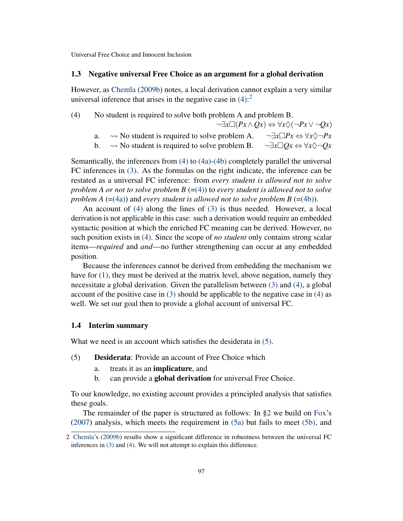#### 1.3 Negative universal Free Choice as an argument for a global derivation

However, as [Chemla](#page-18-0) [\(2009b\)](#page-18-0) notes, a local derivation cannot explain a very similar universal inference that arises in the negative case in  $(4)$ :<sup>[2](#page-0-4)</sup>

<span id="page-2-1"></span><span id="page-2-0"></span>(4) No student is required to solve both problem A and problem B.

- $\neg \exists x \Box (Px \land Qx) \Leftrightarrow \forall x \Diamond (\neg Px \lor \neg Qx)$ a.  $\rightarrow$  No student is required to solve problem A.  $\neg \exists x \Box Px \Leftrightarrow \forall x \Diamond \neg Px$
- b.  $\rightarrow$  No student is required to solve problem B.  $\neg \exists x \Box Qx \Leftrightarrow \forall x \Diamond \neg Qx$

<span id="page-2-2"></span>Semantically, the inferences from [\(4\)](#page-2-0) to [\(4a\)-](#page-2-1)[\(4b\)](#page-2-2) completely parallel the universal FC inferences in [\(3\).](#page-1-0) As the formulas on the right indicate, the inference can be restated as a universal FC inference: from *every student is allowed not to solve problem A or not to solve problem B*  $(=(4))$  $(=(4))$  to *every student is allowed not to solve problem A* ([=\(4a\)\)](#page-2-1) and *every student is allowed not to solve problem B* ([=\(4b\)\)](#page-2-2).

An account of [\(4\)](#page-2-0) along the lines of [\(3\)](#page-1-0) is thus needed. However, a local derivation is not applicable in this case: such a derivation would require an embedded syntactic position at which the enriched FC meaning can be derived. However, no such position exists in [\(4\).](#page-2-0) Since the scope of *no student* only contains strong scalar items—*required* and *and*—no further strengthening can occur at any embedded position.

Because the inferences cannot be derived from embedding the mechanism we have for [\(1\),](#page-0-0) they must be derived at the matrix level, above negation, namely they necessitate a global derivation. Given the parallelism between [\(3\)](#page-1-0) and [\(4\),](#page-2-0) a global account of the positive case in  $(3)$  should be applicable to the negative case in  $(4)$  as well. We set our goal then to provide a global account of universal FC.

# 1.4 Interim summary

<span id="page-2-3"></span>What we need is an account which satisfies the desiderata in  $(5)$ .

- <span id="page-2-4"></span>(5) Desiderata: Provide an account of Free Choice which
	- a. treats it as an implicature, and
	- b. can provide a global derivation for universal Free Choice.

<span id="page-2-5"></span>To our knowledge, no existing account provides a principled analysis that satisfies these goals.

The remainder of the paper is structured as follows: In [§2](#page-3-0) we build on [Fox'](#page-18-1)s [\(2007\)](#page-18-1) analysis, which meets the requirement in [\(5a\)](#page-2-4) but fails to meet [\(5b\),](#page-2-5) and

<sup>2</sup> [Chemla'](#page-18-0)s [\(2009b\)](#page-18-0) results show a significant difference in robustness between the universal FC inferences in [\(3\)](#page-1-0) and [\(4\).](#page-2-0) We will not attempt to explain this difference.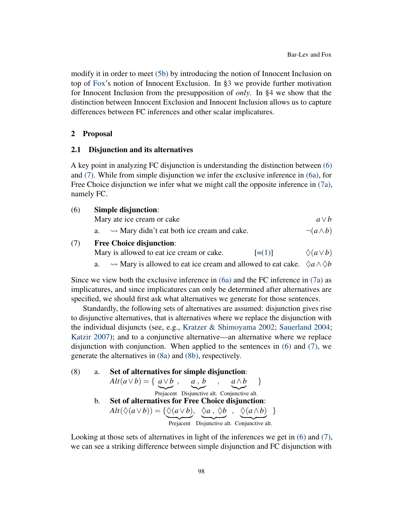modify it in order to meet [\(5b\)](#page-2-5) by introducing the notion of Innocent Inclusion on top of [Fox'](#page-18-1)s notion of Innocent Exclusion. In [§3](#page-13-0) we provide further motivation for Innocent Inclusion from the presupposition of *only*. In [§4](#page-15-0) we show that the distinction between Innocent Exclusion and Innocent Inclusion allows us to capture differences between FC inferences and other scalar implicatures.

### <span id="page-3-0"></span>2 Proposal

#### 2.1 Disjunction and its alternatives

A key point in analyzing FC disjunction is understanding the distinction between [\(6\)](#page-3-1) and [\(7\).](#page-3-2) While from simple disjunction we infer the exclusive inference in [\(6a\),](#page-3-3) for Free Choice disjunction we infer what we might call the opposite inference in [\(7a\),](#page-3-4) namely FC.

<span id="page-3-3"></span><span id="page-3-2"></span><span id="page-3-1"></span>

| (6) | Simple disjunction:                                               |         |                         |  |  |
|-----|-------------------------------------------------------------------|---------|-------------------------|--|--|
|     | Mary ate ice cream or cake                                        |         | $a \vee b$              |  |  |
|     | $\rightsquigarrow$ Mary didn't eat both ice cream and cake.<br>a. |         | $\neg(a \wedge b)$      |  |  |
| (7) | <b>Free Choice disjunction:</b>                                   |         |                         |  |  |
|     | Mary is allowed to eat ice cream or cake.                         | $= (1)$ | $\Diamond$ (a $\vee$ b) |  |  |

a.  $\rightarrow$  Mary is allowed to eat ice cream and allowed to eat cake.  $\Diamond a \land \Diamond b$ 

<span id="page-3-4"></span>Since we view both the exclusive inference in  $(6a)$  and the FC inference in  $(7a)$  as implicatures, and since implicatures can only be determined after alternatives are specified, we should first ask what alternatives we generate for those sentences.

Standardly, the following sets of alternatives are assumed: disjunction gives rise to disjunctive alternatives, that is alternatives where we replace the disjunction with the individual disjuncts (see, e.g., [Kratzer & Shimoyama](#page-19-1) [2002;](#page-19-1) [Sauerland](#page-19-5) [2004;](#page-19-5) [Katzir](#page-19-6) [2007\)](#page-19-6); and to a conjunctive alternative—an alternative where we replace disjunction with conjunction. When applied to the sentences in [\(6\)](#page-3-1) and [\(7\),](#page-3-2) we generate the alternatives in [\(8a\)](#page-3-5) and [\(8b\),](#page-3-6) respectively.

<span id="page-3-6"></span><span id="page-3-5"></span>\n- (8) a. Set of alternatives for simple disjunction: 
$$
Alt(a \vee b) = \{ a \vee b , a, b , a \wedge b \}
$$
 \n Project this is the **Stef of alternatives** for **Free Choice disjunction**:  $Alt(\Diamond(a \vee b)) = \{ \Diamond(a \vee b), \Diamond a, \Diamond b , \Diamond(a \wedge b) \}$  \n Project this is the **Stef of alternatives** for **Free Choice disjunction**:  $Alt(\Diamond(a \vee b)) = \{ \Diamond(a \vee b), \Diamond a, \Diamond b , \Diamond(a \wedge b) \}$  \n Project this is the **Stef of the structure Exercise** 1. \n
	\n- (c)  $Im(b \vee b) = 0$  (or  $Im(b \vee b) = 0$  (or  $Im(b \vee b) = 0$  (or  $Im(b \vee b) = 0$  (or  $Im(b \vee b) = 0$  (or  $Im(b \vee b) = 0$  (or  $Im(b \vee b) = 0$  (or  $Im(b \vee b) = 0$  (or  $Im(b \vee b) = 0$  (or  $Im(b \vee b) = 0$  (or  $Im(b \vee b) = 0$  (or  $Im(b \vee b) = 0$  (or  $Im(b \vee b) = 0$  (or  $Im(b \vee b) = 0$  (or  $Im(b \vee b) = 0$  (or  $Im(b \vee b) = 0$  (or  $Im(b \vee b) = 0$  (or  $Im(b \vee b) = 0$  (or  $Im(b \vee b) = 0$  (or  $Im(b \vee b) = 0$  (or  $Im(b \vee b) = 0$  (or  $Im(b \vee b) = 0$  (or  $Im(b \vee b) = 0$  (or  $Im(b \vee b) = 0$  (or  $Im(b \vee b) = 0$

Looking at those sets of alternatives in light of the inferences we get in [\(6\)](#page-3-1) and [\(7\),](#page-3-2) we can see a striking difference between simple disjunction and FC disjunction with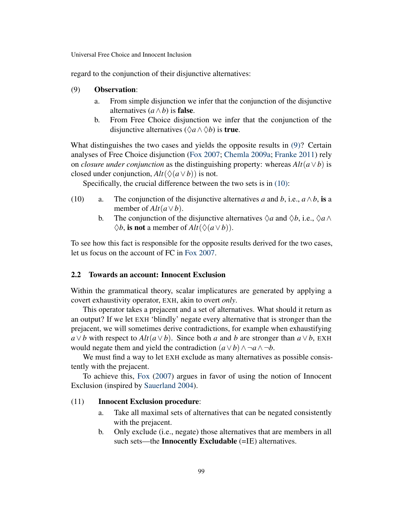<span id="page-4-0"></span>regard to the conjunction of their disjunctive alternatives:

### (9) Observation:

- a. From simple disjunction we infer that the conjunction of the disjunctive alternatives  $(a \wedge b)$  is **false**.
- b. From Free Choice disjunction we infer that the conjunction of the disjunctive alternatives ( $\Diamond a \land \Diamond b$ ) is **true**.

What distinguishes the two cases and yields the opposite results in [\(9\)?](#page-4-0) Certain analyses of Free Choice disjunction [\(Fox](#page-18-1) [2007;](#page-18-1) [Chemla](#page-18-4) [2009a;](#page-18-4) [Franke](#page-19-2) [2011\)](#page-19-2) rely on *closure under conjunction* as the distinguishing property: whereas  $Alt(a \vee b)$  is closed under conjunction,  $Alt(\Diamond(a \lor b))$  is not.

Specifically, the crucial difference between the two sets is in [\(10\):](#page-4-1)

- <span id="page-4-1"></span>(10) a. The conjunction of the disjunctive alternatives *a* and *b*, i.e.,  $a \wedge b$ , is a member of  $Alt(a \vee b)$ .
	- b. The conjunction of the disjunctive alternatives  $\Diamond a$  and  $\Diamond b$ , i.e.,  $\Diamond a \land \Diamond b$  $\diamondsuit b$ , is not a member of  $Alt(\diamondsuit(a \vee b))$ .

To see how this fact is responsible for the opposite results derived for the two cases, let us focus on the account of FC in [Fox](#page-18-1) [2007.](#page-18-1)

# 2.2 Towards an account: Innocent Exclusion

Within the grammatical theory, scalar implicatures are generated by applying a covert exhaustivity operator, EXH, akin to overt *only*.

This operator takes a prejacent and a set of alternatives. What should it return as an output? If we let EXH 'blindly' negate every alternative that is stronger than the prejacent, we will sometimes derive contradictions, for example when exhaustifying *a*∨*b* with respect to *Alt*( $a$ ∨*b*). Since both *a* and *b* are stronger than  $a$ ∨*b*, EXH would negate them and yield the contradiction  $(a \lor b) \land \neg a \land \neg b$ .

We must find a way to let EXH exclude as many alternatives as possible consistently with the prejacent.

To achieve this, [Fox](#page-18-1) [\(2007\)](#page-18-1) argues in favor of using the notion of Innocent Exclusion (inspired by [Sauerland](#page-19-5) [2004\)](#page-19-5).

# <span id="page-4-2"></span>(11) Innocent Exclusion procedure:

- a. Take all maximal sets of alternatives that can be negated consistently with the prejacent.
- b. Only exclude (i.e., negate) those alternatives that are members in all such sets—the Innocently Excludable (=IE) alternatives.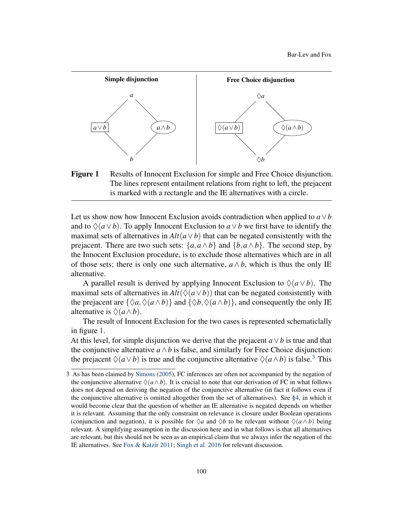<span id="page-5-0"></span>

Figure 1 Results of Innocent Exclusion for simple and Free Choice disjunction. The lines represent entailment relations from right to left, the prejacent is marked with a rectangle and the IE alternatives with a circle.

Let us show now how Innocent Exclusion avoids contradiction when applied to  $a \vee b$ and to  $\Diamond(a \vee b)$ . To apply Innocent Exclusion to  $a \vee b$  we first have to identify the maximal sets of alternatives in  $Alt(a \vee b)$  that can be negated consistently with the prejacent. There are two such sets:  $\{a, a \wedge b\}$  and  $\{b, a \wedge b\}$ . The second step, by the Innocent Exclusion procedure, is to exclude those alternatives which are in all of those sets; there is only one such alternative,  $a \wedge b$ , which is thus the only IE alternative.

A parallel result is derived by applying Innocent Exclusion to  $\Diamond(a \vee b)$ . The maximal sets of alternatives in  $Alt(\Diamond(a \lor b))$  that can be negated consistently with the prejacent are  $\{\Diamond a, \Diamond(a \land b)\}$  and  $\{\Diamond b, \Diamond(a \land b)\}$ , and consequently the only IE alternative is  $\Diamond(a \land b)$ .

The result of Innocent Exclusion for the two cases is represented schematiclally in figure [1.](#page-5-0)

At this level, for simple disjunction we derive that the prejacent *a*∨*b* is true and that the conjunctive alternative  $a \wedge b$  is false, and similarly for Free Choice disjunction: the prejacent  $\Diamond(a \lor b)$  is true and the conjunctive alternative  $\Diamond(a \land b)$  is false.<sup>[3](#page-0-4)</sup> This

<sup>3</sup> As has been claimed by [Simons](#page-19-7) [\(2005\)](#page-19-7), FC inferences are often not accompanied by the negation of the conjunctive alternative  $\Diamond(a \land b)$ . It is crucial to note that our derivation of FC in what follows does not depend on deriving the negation of the conjunctive alternative (in fact it follows even if the conjunctive alternative is omitted altogether from the set of alternatives). See [§4,](#page-15-0) in which it would become clear that the question of whether an IE alternative is negated depends on whether it is relevant. Assuming that the only constraint on relevance is closure under Boolean operations (conjunction and negation), it is possible for  $\Diamond a$  and  $\Diamond b$  to be relevant without  $\Diamond(a \land b)$  being relevant. A simplifying assumption in the discussion here and in what follows is that all alternatives are relevant, but this should not be seen as an empirical claim that we always infer the negation of the IE alternatives. See [Fox & Katzir](#page-18-7) [2011;](#page-18-7) [Singh et al.](#page-19-3) [2016](#page-19-3) for relevant discussion.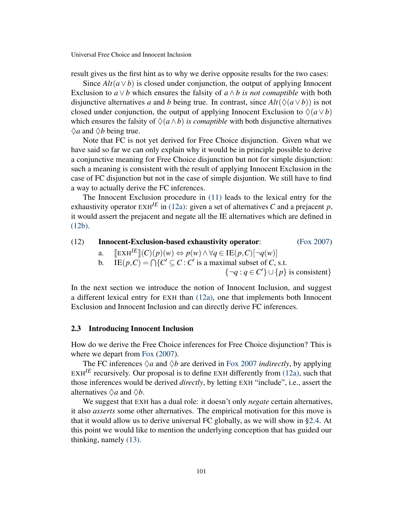result gives us the first hint as to why we derive opposite results for the two cases:

Since  $Alt(a \vee b)$  is closed under conjunction, the output of applying Innocent Exclusion to  $a \vee b$  which ensures the falsity of  $a \wedge b$  *is not comaptible* with both disjunctive alternatives *a* and *b* being true. In contrast, since  $Alt(\Diamond(a \lor b))$  is not closed under conjunction, the output of applying Innocent Exclusion to  $\Diamond(a \vee b)$ which ensures the falsity of  $\Diamond(a \land b)$  *is comaptible* with both disjunctive alternatives  $\Diamond a$  and  $\Diamond b$  being true.

Note that FC is not yet derived for Free Choice disjunction. Given what we have said so far we can only explain why it would be in principle possible to derive a conjunctive meaning for Free Choice disjunction but not for simple disjunction: such a meaning is consistent with the result of applying Innocent Exclusion in the case of FC disjunction but not in the case of simple disjuntion. We still have to find a way to actually derive the FC inferences.

The Innocent Exclusion procedure in [\(11\)](#page-4-2) leads to the lexical entry for the exhaustivity operator  $EXH^{IE}$  in [\(12a\):](#page-6-0) given a set of alternatives C and a prejacent p, it would assert the prejacent and negate all the IE alternatives which are defined in [\(12b\).](#page-6-1)

<span id="page-6-1"></span><span id="page-6-0"></span>(12) **Innocent-Exclusion-based exhaustivity operator:** (Fox 2007)  
\na. 
$$
[ExH^{IE}](C)(p)(w) \Leftrightarrow p(w) \wedge \forall q \in IE(p, C) [\neg q(w)]
$$
\nb. 
$$
IE(p, C) = \bigcap \{C' \subseteq C : C' \text{ is a maximal subset of } C, \text{ s.t. } \{\neg q : q \in C'\} \cup \{p\} \text{ is consistent}\}
$$

In the next section we introduce the notion of Innocent Inclusion, and suggest a different lexical entry for EXH than [\(12a\),](#page-6-0) one that implements both Innocent Exclusion and Innocent Inclusion and can directly derive FC inferences.

#### 2.3 Introducing Innocent Inclusion

How do we derive the Free Choice inferences for Free Choice disjunction? This is where we depart from [Fox](#page-18-1) [\(2007\)](#page-18-1).

The FC inferences  $\Diamond a$  and  $\Diamond b$  are derived in [Fox](#page-18-1) [2007](#page-18-1) *indirectly*, by applying  $EXH^{IE}$  recursively. Our proposal is to define EXH differently from [\(12a\),](#page-6-0) such that those inferences would be derived *directly*, by letting EXH "include", i.e., assert the alternatives  $\Diamond a$  and  $\Diamond b$ .

<span id="page-6-2"></span>We suggest that EXH has a dual role: it doesn't only *negate* certain alternatives, it also *asserts* some other alternatives. The empirical motivation for this move is that it would allow us to derive universal FC globally, as we will show in [§2.4.](#page-9-0) At this point we would like to mention the underlying conception that has guided our thinking, namely [\(13\).](#page-6-2)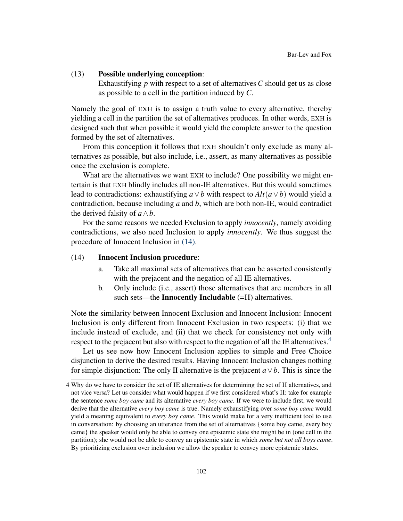#### (13) Possible underlying conception:

Exhaustifying *p* with respect to a set of alternatives *C* should get us as close as possible to a cell in the partition induced by *C*.

Namely the goal of EXH is to assign a truth value to every alternative, thereby yielding a cell in the partition the set of alternatives produces. In other words, EXH is designed such that when possible it would yield the complete answer to the question formed by the set of alternatives.

From this conception it follows that EXH shouldn't only exclude as many alternatives as possible, but also include, i.e., assert, as many alternatives as possible once the exclusion is complete.

What are the alternatives we want EXH to include? One possibility we might entertain is that EXH blindly includes all non-IE alternatives. But this would sometimes lead to contradictions: exhaustifying  $a \vee b$  with respect to  $Alt(a \vee b)$  would yield a contradiction, because including *a* and *b*, which are both non-IE, would contradict the derived falsity of  $a \wedge b$ .

For the same reasons we needed Exclusion to apply *innocently*, namely avoiding contradictions, we also need Inclusion to apply *innocently*. We thus suggest the procedure of Innocent Inclusion in [\(14\).](#page-7-0)

#### <span id="page-7-0"></span>(14) Innocent Inclusion procedure:

- a. Take all maximal sets of alternatives that can be asserted consistently with the prejacent and the negation of all IE alternatives.
- b. Only include (i.e., assert) those alternatives that are members in all such sets—the **Innocently Includable** (=II) alternatives.

Note the similarity between Innocent Exclusion and Innocent Inclusion: Innocent Inclusion is only different from Innocent Exclusion in two respects: (i) that we include instead of exclude, and (ii) that we check for consistency not only with respect to the prejacent but also with respect to the negation of all the IE alternatives.<sup>[4](#page-0-4)</sup>

Let us see now how Innocent Inclusion applies to simple and Free Choice disjunction to derive the desired results. Having Innocent Inclusion changes nothing for simple disjunction: The only II alternative is the prejacent  $a \vee b$ . This is since the

<sup>4</sup> Why do we have to consider the set of IE alternatives for determining the set of II alternatives, and not vice versa? Let us consider what would happen if we first considered what's II: take for example the sentence *some boy came* and its alternative *every boy came*. If we were to include first, we would derive that the alternative *every boy came* is true. Namely exhaustifying over *some boy came* would yield a meaning equivalent to *every boy came*. This would make for a very inefficient tool to use in conversation: by choosing an utterance from the set of alternatives {some boy came, every boy came} the speaker would only be able to convey one epistemic state she might be in (one cell in the partition); she would not be able to convey an epistemic state in which *some but not all boys came*. By prioritizing exclusion over inclusion we allow the speaker to convey more epistemic states.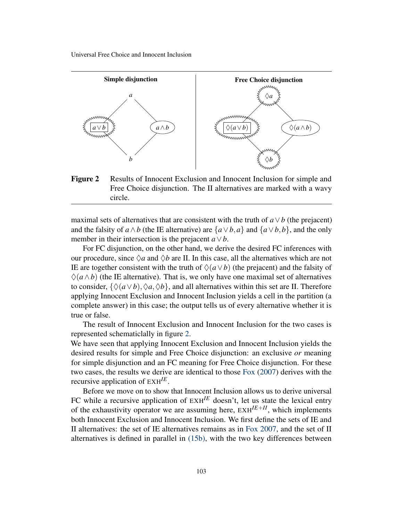<span id="page-8-0"></span>

Figure 2 Results of Innocent Exclusion and Innocent Inclusion for simple and Free Choice disjunction. The II alternatives are marked with a wavy circle.

maximal sets of alternatives that are consistent with the truth of  $a \vee b$  (the prejacent) and the falsity of  $a \wedge b$  (the IE alternative) are  $\{a \vee b, a\}$  and  $\{a \vee b, b\}$ , and the only member in their intersection is the prejacent  $a \vee b$ .

For FC disjunction, on the other hand, we derive the desired FC inferences with our procedure, since  $\Diamond a$  and  $\Diamond b$  are II. In this case, all the alternatives which are not IE are together consistent with the truth of  $\Diamond(a \lor b)$  (the prejacent) and the falsity of  $\Diamond(a \land b)$  (the IE alternative). That is, we only have one maximal set of alternatives to consider,  $\{\Diamond(a \lor b), \Diamond a, \Diamond b\}$ , and all alternatives within this set are II. Therefore applying Innocent Exclusion and Innocent Inclusion yields a cell in the partition (a complete answer) in this case; the output tells us of every alternative whether it is true or false.

The result of Innocent Exclusion and Innocent Inclusion for the two cases is represented schematiclally in figure [2.](#page-8-0)

We have seen that applying Innocent Exclusion and Innocent Inclusion yields the desired results for simple and Free Choice disjunction: an exclusive *or* meaning for simple disjunction and an FC meaning for Free Choice disjunction. For these two cases, the results we derive are identical to those [Fox](#page-18-1) [\(2007\)](#page-18-1) derives with the recursive application of EXH*IE* .

Before we move on to show that Innocent Inclusion allows us to derive universal FC while a recursive application of  $EXH^{IE}$  doesn't, let us state the lexical entry of the exhaustivity operator we are assuming here,  $EXH^{I\to II}$ , which implements both Innocent Exclusion and Innocent Inclusion. We first define the sets of IE and II alternatives: the set of IE alternatives remains as in [Fox](#page-18-1) [2007,](#page-18-1) and the set of II alternatives is defined in parallel in [\(15b\),](#page-9-1) with the two key differences between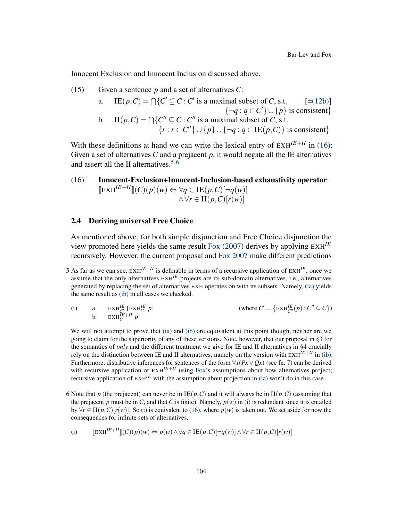Innocent Exclusion and Innocent Inclusion discussed above.

(15) Given a sentence *p* and a set of alternatives *C*:

a. 
$$
IE(p, C) = \bigcap \{C' \subseteq C : C' \text{ is a maximal subset of } C, \text{ s.t. } [=(12b)] \}
$$

$$
\{\neg q : q \in C'\} \cup \{p\} \text{ is consistent}\}
$$
  
b. 
$$
II(p, C) = \bigcap \{C'' \subseteq C : C'' \text{ is a maximal subset of } C, \text{ s.t. } \{r : r \in C''\} \cup \{p\} \cup \{\neg q : q \in IE(p, C)\} \text{ is consistent}\}
$$

<span id="page-9-1"></span>With these definitions at hand we can write the lexical entry of  $EXH^{I\to II}$  in [\(16\):](#page-9-2) Given a set of alternatives  $C$  and a prejacent  $p$ , it would negate all the IE alternatives and assert all the II alternatives.  $5,6$  $5,6$  $5,6$ 

# <span id="page-9-2"></span>(16) Innocent-Exclusion+Innocent-Inclusion-based exhaustivity operator:  $[\mathbb{E} \times \mathbb{H}^{I\in I\cap I}](C)(p)(w) \Leftrightarrow \forall q \in \mathbb{I}\mathbb{E}(p,C)[\neg q(w)]$  $\land \forall r$  ∈ II(*p*,*C*)[ $r(w)$ ]

### <span id="page-9-0"></span>2.4 Deriving universal Free Choice

As mentioned above, for both simple disjunction and Free Choice disjunction the view promoted here yields the same result [Fox](#page-18-1) [\(2007\)](#page-18-1) derives by applying EXH*IE* recursively. However, the current proposal and [Fox](#page-18-1) [2007](#page-18-1) make different predictions

<span id="page-9-4"></span><span id="page-9-3"></span>(i) a.  $EXH_C^{IE}$  [ $EXH_C^{IE}$ ]<br>b.  $EXH_C^{IE+II}$  *p p*] (where  $C' = {\text{EXH}_{C''}^{IE}(p) : C'' \subseteq C}$ )

We will not attempt to prove that [\(ia\)](#page-9-3) and [\(ib\)](#page-9-4) are equivalent at this point though, neither are we going to claim for the superiority of any of these versions. Note, however, that our proposal in [§3](#page-13-0) for the semantics of *only* and the different treatment we give for IE and II alternatives in [§4](#page-15-0) crucially rely on the distinction between IE and II alternatives, namely on the version with  $EXH^{I\to H}$  in [\(ib\).](#page-9-4) Furthermore, distributive inferences for sentences of the form  $\forall x (Px \lor Ox)$  (see fn. [7\)](#page-9-0) can be derived with recursive application of  $\text{EXH}^{I E+I I}$  using [Fox'](#page-18-1)s assumptions about how alternatives project; recursive application of  $E X H^{I E}$  with the assumption about projection in [\(ia\)](#page-9-3) won't do in this case.

6 Note that *p* (the prejacent) can never be in  $IE(p, C)$  and it will always be in  $II(p, C)$  (assuming that the prejacent *p* must be in *C*, and that *C* is finite). Namely,  $p(w)$  in [\(i\)](#page-9-5) is redundant since it is entailed by  $\forall r \in H(p, C)[r(w)]$ . So [\(i\)](#page-9-5) is equivalent to [\(16\),](#page-9-2) where  $p(w)$  is taken out. We set aside for now the consequences for infinite sets of alternatives.

<span id="page-9-5"></span>(i) 
$$
\llbracket \operatorname{EXH}^{I\mathcal{E}+II} \rrbracket(C)(p)(w) \Leftrightarrow p(w) \wedge \forall q \in \operatorname{IE}(p, C) [\neg q(w)] \wedge \forall r \in \Pi(p, C)[r(w)]
$$

<sup>5</sup> As far as we can see,  $EXH^{I\to II}$  is definable in terms of a recursive application of  $EXH^{I\to}$ , once we assume that the only alternatives EXH*IE* projects are its sub-domain alternatives, i.e., alternatives generated by replacing the set of alternatives EXH operates on with its subsets. Namely, [\(ia\)](#page-9-3) yields the same result as [\(ib\)](#page-9-4) in all cases we checked.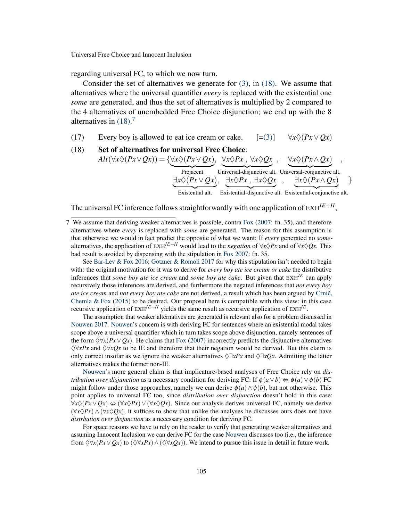regarding universal FC, to which we now turn.

Consider the set of alternatives we generate for [\(3\),](#page-1-0) in [\(18\).](#page-10-0) We assume that alternatives where the universal quantifier *every* is replaced with the existential one *some* are generated, and thus the set of alternatives is multiplied by 2 compared to the 4 alternatives of unembedded Free Choice disjunction; we end up with the 8 alternatives in  $(18)$ .<sup>[7](#page-0-4)</sup>

<span id="page-10-0"></span>(17) Every boy is allowed to eat ice cream or cake.  $[=(3)] \quad \forall x \Diamond (Px \lor Qx)$  $[=(3)] \quad \forall x \Diamond (Px \lor Qx)$  $[=(3)] \quad \forall x \Diamond (Px \lor Qx)$ 

#### (18) Set of alternatives for universal Free Choice:  $Alt(\forall x \Diamond (Px \lor Qx)) = {\forall x \Diamond (Px \lor Qx), \forall x \Diamond Px, \forall x \Diamond Qx, \forall x \Diamond (Px \land Qx)}$  $\overline{\exists x \Diamond (Px \lor Qx)}, \overline{\exists x \Diamond Px}, \overline{\exists x \Diamond Qx}, \overline{\exists x \Diamond (Px \land Qx)}$ , , ∃*x*♦*Px* , ∃*x*♦*Qx*  $, ∃x$   $\Diamond$  (*Px*  $\land$  *Qx*)

Existential alt. Existential-disjunctive alt. Existential-conjunctive alt.

}

The universal FC inference follows straightforwardly with one application of EXH*IE*+*II* ,

See [Bar-Lev & Fox](#page-18-8) [2016;](#page-18-8) [Gotzner & Romoli](#page-19-8) [2017](#page-19-8) for why this stipulation isn't needed to begin with: the original motivation for it was to derive for *every boy ate ice cream or cake* the distributive inferences that *some boy ate ice cream* and *some boy ate cake*. But given that EXH*IE* can apply recursively those inferences are derived, and furthermore the negated inferences that *not every boy ate ice cream* and *not every boy ate cake* are not derived, a result which has been argued by Crnič, Chemla  $\&$  Fox [\(2015\)](#page-18-9) to be desired. Our proposal here is compatible with this view: in this case recursive application of  $\text{EXH}^{I\to II}$  yields the same result as recursive application of  $\text{EXH}^{I\to}$ .

The assumption that weaker alternatives are generated is relevant also for a problem discussed in [Nouwen](#page-19-9) [2017.](#page-19-9) [Nouwen'](#page-19-9)s concern is with deriving FC for sentences where an existential modal takes scope above a universal quantifier which in turn takes scope above disjunction, namely sentences of the form  $\Diamond \forall x (Px \lor Qx)$ . He claims that [Fox](#page-18-1) [\(2007\)](#page-18-1) incorrectly predicts the disjunctive alternatives  $\Diamond \forall xPx$  and  $\Diamond \forall xQx$  to be IE and therefore that their negation would be derived. But this claim is only correct insofar as we ignore the weaker alternatives  $\Diamond \exists xPx$  and  $\Diamond \exists xQx$ . Admitting the latter alternatives makes the former non-IE.

[Nouwen'](#page-19-9)s more general claim is that implicature-based analyses of Free Choice rely on *distribution over disjunction* as a necessary condition for deriving FC: If  $\phi(a \lor b) \Leftrightarrow \phi(a) \lor \phi(b)$  FC might follow under those approaches, namely we can derive  $\phi(a) \wedge \phi(b)$ , but not otherwise. This point applies to universal FC too, since *distribution over disjunction* doesn't hold in this case:  $\forall x \Diamond (Px \lor Qx) \Leftrightarrow (\forall x \Diamond Px) \lor (\forall x \Diamond Qx)$ . Since our analysis derives universal FC, namely we derive  $(\forall x \Diamond Px) \land (\forall x \Diamond Qx)$ , it suffices to show that unlike the analyses he discusses ours does not have *distrbution over disjunction* as a necessary condition for deriving FC.

For space reasons we have to rely on the reader to verify that generating weaker alternatives and assuming Innocent Inclusion we can derive FC for the case [Nouwen](#page-19-9) discusses too (i.e., the inference from  $\Diamond \forall x (Px \lor Qx)$  to  $(\Diamond \forall xPx) \land (\Diamond \forall xQx)$ ). We intend to pursue this issue in detail in future work.

<sup>7</sup> We assume that deriving weaker alternatives is possible, contra [Fox](#page-18-1) [\(2007:](#page-18-1) fn. 35), and therefore alternatives where *every* is replaced with *some* are generated. The reason for this assumption is that otherwise we would in fact predict the opposite of what we want: If *every* generated no *some*alternatives, the application of  $EXH^{I\to H}$  would lead to the *negation* of  $\forall x \Diamond P x$  and of  $\forall x \Diamond Qx$ . This bad result is avoided by dispensing with the stipulation in [Fox](#page-18-1) [2007:](#page-18-1) fn. 35.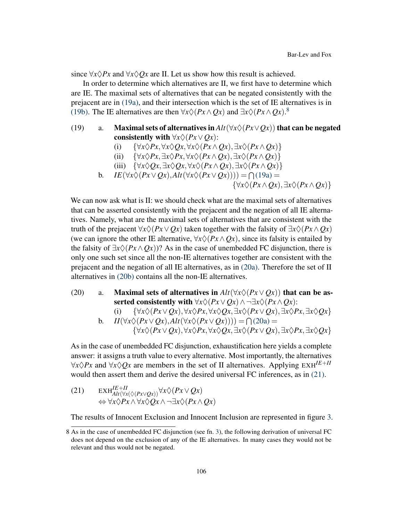since  $\forall x \Diamond Px$  and  $\forall x \Diamond Ox$  are II. Let us show how this result is achieved.

In order to determine which alternatives are II, we first have to determine which are IE. The maximal sets of alternatives that can be negated consistently with the prejacent are in [\(19a\),](#page-11-0) and their intersection which is the set of IE alternatives is in [\(19b\).](#page-11-1) The IE alternatives are then  $\forall x \Diamond (Px \land Qx)$  and  $\exists x \Diamond (Px \land Qx)$ .

- <span id="page-11-0"></span>(19) a. Maximal sets of alternatives in  $Alt(\forall x \Diamond (Px \lor Ox))$  that can be negated consistently with  $\forall x \Diamond (Px \lor Qx)$ :
	- (i) { $\forall x \Diamond Px, \forall x \Diamond Qx, \forall x \Diamond (Px \land Qx), \exists x \Diamond (Px \land Qx)$ }
	- (ii) { $\forall x \Diamond Px, \exists x \Diamond Px, \forall x \Diamond (Px \land Qx), \exists x \Diamond (Px \land Qx)$ }
	- (iii)  $\{\forall x \Diamond Qx, \exists x \Diamond Qx, \forall x \Diamond (Px \land Qx), \exists x \Diamond (Px \land Qx)\}\$
	- b.  $IE(\forall x \Diamond (Px \lor Qx), Alt(\forall x \Diamond (Px \lor Qx)))) = \bigcap (19a) =$  $IE(\forall x \Diamond (Px \lor Qx), Alt(\forall x \Diamond (Px \lor Qx)))) = \bigcap (19a) =$  $IE(\forall x \Diamond (Px \lor Qx), Alt(\forall x \Diamond (Px \lor Qx)))) = \bigcap (19a) =$

{∀*x*♦(*Px*∧*Qx*),∃*x*♦(*Px*∧*Qx*)}

<span id="page-11-1"></span>We can now ask what is II: we should check what are the maximal sets of alternatives that can be asserted consistently with the prejacent and the negation of all IE alternatives. Namely, what are the maximal sets of alternatives that are consistent with the truth of the prejacent  $\forall x \Diamond (Px \lor Qx)$  taken together with the falsity of  $\exists x \Diamond (Px \land Qx)$ (we can ignore the other IE alternative,  $\forall x \Diamond (Px \land Qx)$ , since its falsity is entailed by the falsity of  $\exists x \Diamond (Px \land Ox)$ ? As in the case of unembedded FC disjunction, there is only one such set since all the non-IE alternatives together are consistent with the prejacent and the negation of all IE alternatives, as in [\(20a\).](#page-11-2) Therefore the set of II alternatives in [\(20b\)](#page-11-3) contains all the non-IE alternatives.

<span id="page-11-3"></span><span id="page-11-2"></span>(20) a. Maximal sets of alternatives in  $Alt(\forall x \Diamond (Px \lor Qx))$  that can be asserted consistently with  $\forall x \Diamond (Px \lor Qx) \land \neg \exists x \Diamond (Px \land Qx)$ :

(i) 
$$
\{\forall x \Diamond (Px \lor Qx), \forall x \Diamond Px, \forall x \Diamond Qx, \exists x \Diamond (Px \lor Qx), \exists x \Diamond Px, \exists x \Diamond Qx\}
$$
  
b.  $H(\forall x \Diamond (Px \lor Qx), Alt(\forall x \Diamond (Px \lor Qx)))) = \bigcap (20a) =$ 

$$
\{\forall x\Diamond(Px\vee Qx),\forall x\Diamond Px,\forall x\Diamond Qx,\exists x\Diamond(Px\vee Qx),\exists x\Diamond Px,\exists x\Diamond Qx\}
$$

As in the case of unembedded FC disjunction, exhaustification here yields a complete answer: it assigns a truth value to every alternative. Most importantly, the alternatives  $\forall x \Diamond P x$  and  $\forall x \Diamond Q x$  are members in the set of II alternatives. Applying EXH<sup>IE+II</sup> would then assert them and derive the desired universal FC inferences, as in [\(21\).](#page-11-4)

<span id="page-11-4"></span>(21) 
$$
\begin{array}{lll} \text{EXH}_{Alt(\forall x(\Diamond(Px \lor Qx))}^{IE+II} \forall x \Diamond(Px \lor Qx) \\ \Leftrightarrow \forall x \Diamond Px \land \forall x \Diamond Qx \land \neg \exists x \Diamond(Px \land Qx) \end{array}
$$

The results of Innocent Exclusion and Innocent Inclusion are represented in figure [3.](#page-12-0)

<sup>8</sup> As in the case of unembedded FC disjunction (see fn. [3\)](#page-5-0), the following derivation of universal FC does not depend on the exclusion of any of the IE alternatives. In many cases they would not be relevant and thus would not be negated.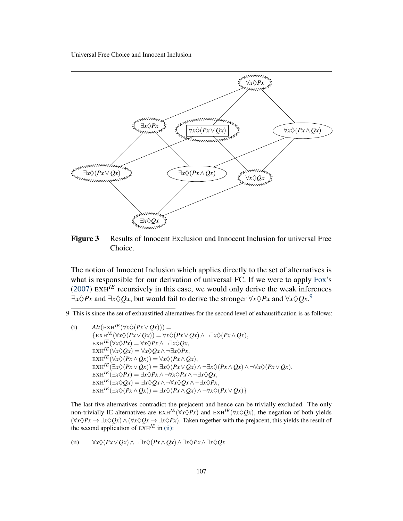<span id="page-12-0"></span>

Figure 3 Results of Innocent Exclusion and Innocent Inclusion for universal Free Choice.

The notion of Innocent Inclusion which applies directly to the set of alternatives is what is responsible for our derivation of universal FC. If we were to apply [Fox'](#page-18-1)s [\(2007\)](#page-18-1)  $EXH^{IE}$  recursively in this case, we would only derive the weak inferences  $\exists x \Diamond Px$  and  $\exists x \Diamond Qx$ , but would fail to derive the stronger  $\forall x \Diamond Px$  and  $\forall x \Diamond Qx$ .<sup>[9](#page-0-4)</sup>

(i)  $Alt(EXH^{IE}(\forall x \Diamond (Px \lor Qx))) =$  $\{E X H^{IE}(\forall x \Diamond (Px \lor Qx)) = \forall x \Diamond (Px \lor Qx) \land \neg \exists x \Diamond (Px \land Qx),\}$  $\overrightarrow{E}$ KH<sup>IE</sup>( $\forall x \Diamond Px$ ) =  $\forall x \Diamond Px \land \neg \exists x \Diamond Qx$ ,  $\exp(E(\forall x \Diamond Qx)) = \forall x \Diamond Qx \land \neg \exists x \Diamond Px,$  $\mathbb{E} \times \mathbb{H}^{IE}(\forall x \Diamond (Px \land Qx)) = \forall x \Diamond (Px \land Qx),$  $\exists x \forall x \forall P(x \land Q(x)) = \exists x \Diamond (Px \lor Qx) \land \neg \exists x \Diamond (Px \land Qx) \land \neg \forall x \Diamond (Px \lor Qx),$  $\exists x \forall P x \in \exists x \Diamond P x \land \neg \forall x \Diamond P x \land \neg \exists x \Diamond Q x,$  $\mathbb{E} \times \mathbb{H}^{IE}(\exists x \Diamond Qx) = \exists x \Diamond Qx \land \neg \forall x \Diamond Qx \land \neg \exists x \Diamond Px,$  $\text{EXH}^{IE}(\exists x \Diamond (Px \land Qx)) = \exists x \Diamond (Px \land Qx) \land \neg \forall x \Diamond (Px \lor Qx)$ 

The last five alternatives contradict the prejacent and hence can be trivially excluded. The only non-trivially IE alternatives are  $EXH^{IE}(\forall x \Diamond Px)$  and  $EXH^{IE}(\forall x \Diamond Qx)$ , the negation of both yields  $(\forall x \Diamond Px \rightarrow \exists x \Diamond Qx) \land (\forall x \Diamond Qx \rightarrow \exists x \Diamond Px)$ . Taken together with the prejacent, this yields the result of the second application of  $E X H^{I E}$  in [\(ii\):](#page-12-1)

<span id="page-12-1"></span>(ii) 
$$
\forall x \Diamond (Px \lor Qx) \land \neg \exists x \Diamond (Px \land Qx) \land \exists x \Diamond Px \land \exists x \Diamond Qx
$$

<sup>9</sup> This is since the set of exhaustified alternatives for the second level of exhaustification is as follows: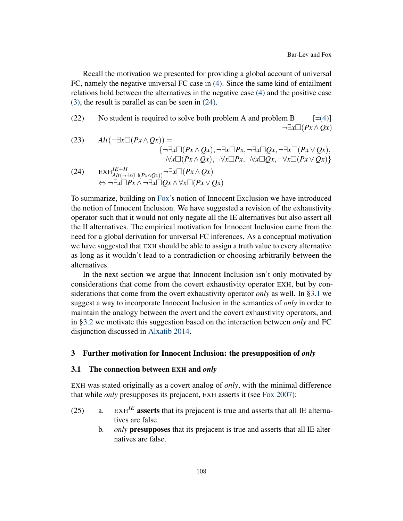Recall the motivation we presented for providing a global account of universal FC, namely the negative universal FC case in [\(4\).](#page-2-0) Since the same kind of entailment relations hold between the alternatives in the negative case [\(4\)](#page-2-0) and the positive case [\(3\),](#page-1-0) the result is parallel as can be seen in [\(24\).](#page-13-1)

(22) No student is required to solve both problem A and problem B  $[=(4)]$  $[=(4)]$ ¬∃*x*(*Px*∧*Qx*)

(23) 
$$
Alt(\neg \exists x \Box(Px \land Qx)) =
$$
  

$$
\{\neg \exists x \Box(Px \land Qx), \neg \exists x \Box Px, \neg \exists x \Box Qx, \neg \exists x \Box(Px \lor Qx),
$$

$$
\neg \forall x \Box(Px \land Qx), \neg \forall x \Box Px, \neg \forall x \Box Qx, \neg \forall x \Box(Px \lor Qx)\}
$$

<span id="page-13-1"></span>(24) 
$$
\operatorname{EXH}_{Alt(\neg \exists x (\Box (Px \land Qx))}^{IE+II} \neg \exists x \Box (Px \land Qx)
$$

$$
\Leftrightarrow \neg \exists x \Box Px \land \neg \exists x \Box Qx \land \forall x \Box (Px \lor Qx)
$$

To summarize, building on [Fox'](#page-18-1)s notion of Innocent Exclusion we have introduced the notion of Innocent Inclusion. We have suggested a revision of the exhaustivity operator such that it would not only negate all the IE alternatives but also assert all the II alternatives. The empirical motivation for Innocent Inclusion came from the need for a global derivation for universal FC inferences. As a conceptual motivation we have suggested that EXH should be able to assign a truth value to every alternative as long as it wouldn't lead to a contradiction or choosing arbitrarily between the alternatives.

In the next section we argue that Innocent Inclusion isn't only motivated by considerations that come from the covert exhaustivity operator EXH, but by considerations that come from the overt exhaustivity operator *only* as well. In [§3.1](#page-13-2) we suggest a way to incorporate Innocent Inclusion in the semantics of *only* in order to maintain the analogy between the overt and the covert exhaustivity operators, and in [§3.2](#page-14-0) we motivate this suggestion based on the interaction between *only* and FC disjunction discussed in [Alxatib](#page-18-2) [2014.](#page-18-2)

#### <span id="page-13-0"></span>3 Further motivation for Innocent Inclusion: the presupposition of *only*

#### <span id="page-13-2"></span>3.1 The connection between EXH and *only*

EXH was stated originally as a covert analog of *only*, with the minimal difference that while *only* presupposes its prejacent, EXH asserts it (see [Fox](#page-18-1) [2007\)](#page-18-1):

- (25) a.  $EXH^{IE}$  **asserts** that its prejacent is true and asserts that all IE alternatives are false.
	- b. *only* presupposes that its prejacent is true and asserts that all IE alternatives are false.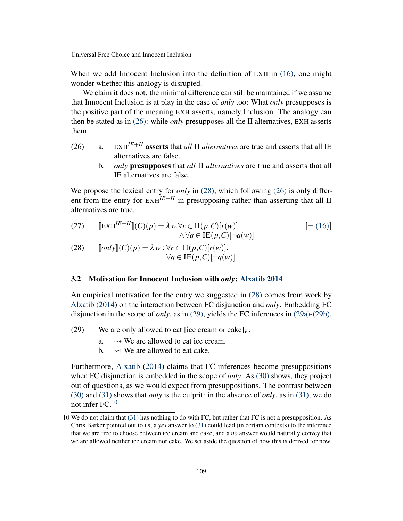When we add Innocent Inclusion into the definition of EXH in [\(16\),](#page-9-2) one might wonder whether this analogy is disrupted.

We claim it does not, the minimal difference can still be maintained if we assume that Innocent Inclusion is at play in the case of *only* too: What *only* presupposes is the positive part of the meaning EXH asserts, namely Inclusion. The analogy can then be stated as in [\(26\):](#page-14-1) while *only* presupposes all the II alternatives, EXH asserts them.

- <span id="page-14-1"></span>(26) a.  $EXH^{IE+II}$  asserts that *all* II *alternatives* are true and asserts that all IE alternatives are false.
	- b. *only* presupposes that *all* II *alternatives* are true and asserts that all IE alternatives are false.

We propose the lexical entry for *only* in [\(28\),](#page-14-2) which following [\(26\)](#page-14-1) is only different from the entry for  $EXH^{IE+II}$  in presupposing rather than asserting that all II alternatives are true.

(27) 
$$
\begin{aligned} \llbracket \operatorname{EXH}^{IE+II} \rrbracket(C)(p) &= \lambda w. \forall r \in \Pi(p, C)[r(w)] \\ \wedge \forall q \in \operatorname{IE}(p, C) [\neg q(w)] \end{aligned} \tag{16}
$$

<span id="page-14-2"></span>(28) 
$$
\llbracket only \rrbracket(C)(p) = \lambda w : \forall r \in H(p, C)[r(w)].
$$

$$
\forall q \in \text{IE}(p, C)[\neg q(w)]
$$

#### <span id="page-14-0"></span>3.2 Motivation for Innocent Inclusion with *only*: [Alxatib](#page-18-2) [2014](#page-18-2)

An empirical motivation for the entry we suggested in [\(28\)](#page-14-2) comes from work by [Alxatib](#page-18-2) [\(2014\)](#page-18-2) on the interaction between FC disjunction and *only*. Embedding FC disjunction in the scope of *only*, as in [\(29\),](#page-14-3) yields the FC inferences in [\(29a\)](#page-14-4)[-\(29b\).](#page-14-5)

<span id="page-14-5"></span><span id="page-14-4"></span><span id="page-14-3"></span>(29) We are only allowed to eat [ice cream or cake] $_F$ .

- a.  $\rightarrow$  We are allowed to eat ice cream.
- b.  $\rightarrow$  We are allowed to eat cake.

Furthermore, [Alxatib](#page-18-2) [\(2014\)](#page-18-2) claims that FC inferences become presuppositions when FC disjunction is embedded in the scope of *only*. As [\(30\)](#page-14-6) shows, they project out of questions, as we would expect from presuppositions. The contrast between [\(30\)](#page-14-6) and [\(31\)](#page-15-1) shows that *only* is the culprit: in the absence of *only*, as in [\(31\),](#page-15-1) we do not infer FC. $10$ 

<span id="page-14-6"></span><sup>10</sup> We do not claim that [\(31\)](#page-15-1) has nothing to do with FC, but rather that FC is not a presupposition. As Chris Barker pointed out to us, a *yes* answer to [\(31\)](#page-15-1) could lead (in certain contexts) to the inference that we are free to choose between ice cream and cake, and a *no* answer would naturally convey that we are allowed neither ice cream nor cake. We set aside the question of how this is derived for now.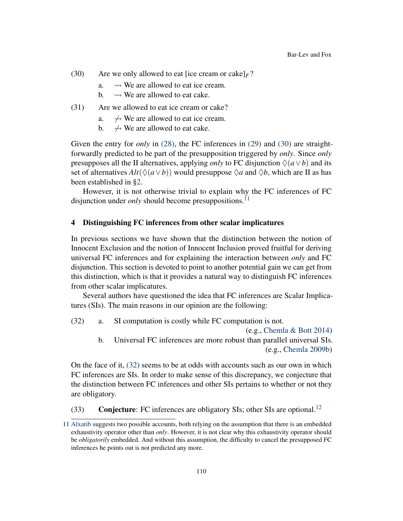- (30) Are we only allowed to eat [ice cream or cake] $_F$ ?
	- a.  $\rightarrow$  We are allowed to eat ice cream.
	- b.  $\rightarrow$  We are allowed to eat cake.
- <span id="page-15-1"></span>(31) Are we allowed to eat ice cream or cake?
	- a.  $\rightarrow$  We are allowed to eat ice cream.
	- b.  $\leftrightarrow$  We are allowed to eat cake.

Given the entry for *only* in [\(28\),](#page-14-2) the FC inferences in [\(29\)](#page-14-3) and [\(30\)](#page-14-6) are straightforwardly predicted to be part of the presupposition triggered by *only*. Since *only* presupposes all the II alternatives, applying *only* to FC disjunction  $\Diamond(a \lor b)$  and its set of alternatives  $Alt(\Diamond(a \lor b))$  would presuppose  $\Diamond a$  and  $\Diamond b$ , which are II as has been established in [§2.](#page-3-0)

However, it is not otherwise trivial to explain why the FC inferences of FC disjunction under *only* should become presuppositions.<sup>[11](#page-0-4)</sup>

#### <span id="page-15-0"></span>4 Distinguishing FC inferences from other scalar implicatures

In previous sections we have shown that the distinction between the notion of Innocent Exclusion and the notion of Innocent Inclusion proved fruitful for deriving universal FC inferences and for explaining the interaction between *only* and FC disjunction. This section is devoted to point to another potential gain we can get from this distinction, which is that it provides a natural way to distinguish FC inferences from other scalar implicatures.

Several authors have questioned the idea that FC inferences are Scalar Implicatures (SIs). The main reasons in our opinion are the following:

<span id="page-15-2"></span>(32) a. SI computation is costly while FC computation is not.

(e.g., [Chemla & Bott](#page-18-10) [2014\)](#page-18-10) b. Universal FC inferences are more robust than parallel universal SIs. (e.g., [Chemla](#page-18-0) [2009b\)](#page-18-0)

On the face of it, [\(32\)](#page-15-2) seems to be at odds with accounts such as our own in which FC inferences are SIs. In order to make sense of this discrepancy, we conjecture that the distinction between FC inferences and other SIs pertains to whether or not they are obligatory.

<span id="page-15-3"></span>(33) Conjecture: FC inferences are obligatory SIs; other SIs are optional.<sup>[12](#page-0-4)</sup>

<sup>11</sup> [Alxatib](#page-18-2) suggests two possible accounts, both relying on the assumption that there is an embedded exhaustivity operator other than *only*. However, it is not clear why this exhaustivity operator should be *obligatorily* embedded. And without this assumption, the difficulty to cancel the presupposed FC inferences he points out is not predicted any more.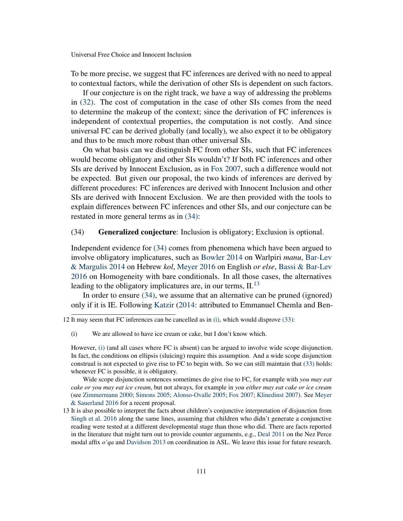To be more precise, we suggest that FC inferences are derived with no need to appeal to contextual factors, while the derivation of other SIs is dependent on such factors.

If our conjecture is on the right track, we have a way of addressing the problems in [\(32\).](#page-15-2) The cost of computation in the case of other SIs comes from the need to determine the makeup of the context; since the derivation of FC inferences is independent of contextual properties, the computation is not costly. And since universal FC can be derived globally (and locally), we also expect it to be obligatory and thus to be much more robust than other universal SIs.

On what basis can we distinguish FC from other SIs, such that FC inferences would become obligatory and other SIs wouldn't? If both FC inferences and other SIs are derived by Innocent Exclusion, as in [Fox](#page-18-1) [2007,](#page-18-1) such a difference would not be expected. But given our proposal, the two kinds of inferences are derived by different procedures: FC inferences are derived with Innocent Inclusion and other SIs are derived with Innocent Exclusion. We are then provided with the tools to explain differences between FC inferences and other SIs, and our conjecture can be restated in more general terms as in [\(34\):](#page-16-0)

## <span id="page-16-0"></span>(34) Generalized conjecture: Inclusion is obligatory; Exclusion is optional.

Independent evidence for [\(34\)](#page-16-0) comes from phenomena which have been argued to involve obligatory implicatures, such as [Bowler](#page-18-11) [2014](#page-18-11) on Warlpiri *manu*, [Bar-Lev](#page-18-12) [& Margulis](#page-18-12) [2014](#page-18-12) on Hebrew *kol*, [Meyer](#page-19-10) [2016](#page-19-10) on English *or else*, [Bassi & Bar-Lev](#page-18-13) [2016](#page-18-13) on Homogeneity with bare conditionals. In all those cases, the alternatives leading to the obligatory implicatures are, in our terms,  $II^{13}$  $II^{13}$  $II^{13}$ 

In order to ensure [\(34\),](#page-16-0) we assume that an alternative can be pruned (ignored) only if it is IE. Following [Katzir](#page-19-11) [\(2014:](#page-19-11) attributed to Emmanuel Chemla and Ben-

<span id="page-16-1"></span>(i) We are allowed to have ice cream or cake, but I don't know which.

However, [\(i\)](#page-16-1) (and all cases where FC is absent) can be argued to involve wide scope disjunction. In fact, the conditions on ellipsis (sluicing) require this assumption. And a wide scope disjunction construal is not expected to give rise to FC to begin with. So we can still maintain that [\(33\)](#page-15-3) holds: whenever FC is possible, it is obligatory.

Wide scope disjunction sentences sometimes do give rise to FC, for example with *you may eat cake or you may eat ice cream*, but not always, for example in *you either may eat cake or ice cream* (see [Zimmermann](#page-19-12) [2000;](#page-19-12) [Simons](#page-19-7) [2005;](#page-19-7) [Alonso-Ovalle](#page-18-3) [2005;](#page-18-3) [Fox](#page-18-1) [2007;](#page-18-1) [Klinedinst](#page-19-13) [2007\)](#page-19-13). See [Meyer](#page-19-14) [& Sauerland](#page-19-14) [2016](#page-19-14) for a recent proposal.

<sup>12</sup> It may seem that FC inferences can be cancelled as in [\(i\),](#page-16-1) which would disprove [\(33\):](#page-15-3)

<sup>13</sup> It is also possible to interpret the facts about children's conjunctive interpretation of disjunction from [Singh et al.](#page-19-3) [2016](#page-19-3) along the same lines, assuming that children who didn't generate a conjunctive reading were tested at a different developmental stage than those who did. There are facts reported in the literature that might turn out to provide counter arguments, e.g., [Deal](#page-18-14) [2011](#page-18-14) on the Nez Perce modal affix *o'qa* and [Davidson](#page-18-15) [2013](#page-18-15) on coordination in ASL. We leave this issue for future research.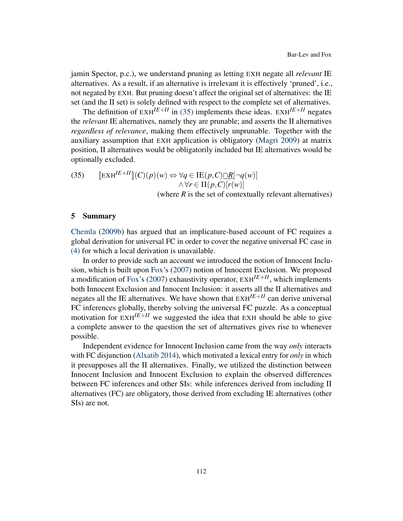jamin Spector, p.c.), we understand pruning as letting EXH negate all *relevant* IE alternatives. As a result, if an alternative is irrelevant it is effectively 'pruned', i.e., not negated by EXH. But pruning doesn't affect the original set of alternatives: the IE set (and the II set) is solely defined with respect to the complete set of alternatives.

The definition of  $E X H^{I E + I I}$  in [\(35\)](#page-17-0) implements these ideas.  $E X H^{I E + I I}$  negates the *relevant* IE alternatives, namely they are prunable; and asserts the II alternatives *regardless of relevance*, making them effectively unprunable. Together with the auxiliary assumption that EXH application is obligatory [\(Magri](#page-19-15) [2009\)](#page-19-15) at matrix position, II alternatives would be obligatorily included but IE alternatives would be optionally excluded.

<span id="page-17-0"></span>(35) 
$$
\llbracket \operatorname{EXH}^{IE+II} \rrbracket (C)(p)(w) \Leftrightarrow \forall q \in \operatorname{IE}(p, C) \cap R[\neg q(w)]
$$

$$
\wedge \forall r \in \operatorname{II}(p, C)[r(w)]
$$
  
(where *R* is the set of contextually relevant alternatives)

#### 5 Summary

[Chemla](#page-18-0) [\(2009b\)](#page-18-0) has argued that an implicature-based account of FC requires a global derivation for universal FC in order to cover the negative universal FC case in [\(4\)](#page-2-0) for which a local derivation is unavailable.

In order to provide such an account we introduced the notion of Innocent Inclusion, which is built upon [Fox'](#page-18-1)s [\(2007\)](#page-18-1) notion of Innocent Exclusion. We proposed a modification of [Fox'](#page-18-1)s [\(2007\)](#page-18-1) exhaustivity operator,  $EXH^{I\to H}$ , which implements both Innocent Exclusion and Innocent Inclusion: it asserts all the II alternatives and negates all the IE alternatives. We have shown that  $EXH^{I\to H}$  can derive universal FC inferences globally, thereby solving the universal FC puzzle. As a conceptual motivation for  $EXH^{I\to II}$  we suggested the idea that EXH should be able to give a complete answer to the question the set of alternatives gives rise to whenever possible.

Independent evidence for Innocent Inclusion came from the way *only* interacts with FC disjunction [\(Alxatib](#page-18-2) [2014\)](#page-18-2), which motivated a lexical entry for *only* in which it presupposes all the II alternatives. Finally, we utilized the distinction between Innocent Inclusion and Innocent Exclusion to explain the observed differences between FC inferences and other SIs: while inferences derived from including II alternatives (FC) are obligatory, those derived from excluding IE alternatives (other SIs) are not.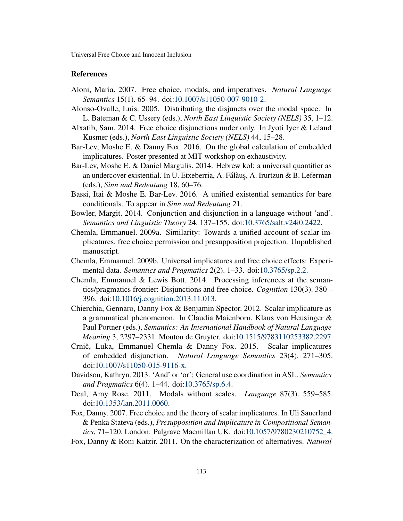#### References

- <span id="page-18-6"></span>Aloni, Maria. 2007. Free choice, modals, and imperatives. *Natural Language Semantics* 15(1). 65–94. doi[:10.1007/s11050-007-9010-2.](http://dx.doi.org/10.1007/s11050-007-9010-2)
- <span id="page-18-3"></span>Alonso-Ovalle, Luis. 2005. Distributing the disjuncts over the modal space. In L. Bateman & C. Ussery (eds.), *North East Linguistic Society (NELS)* 35, 1–12.
- <span id="page-18-2"></span>Alxatib, Sam. 2014. Free choice disjunctions under only. In Jyoti Iyer & Leland Kusmer (eds.), *North East Linguistic Society (NELS)* 44, 15–28.
- <span id="page-18-8"></span>Bar-Lev, Moshe E. & Danny Fox. 2016. On the global calculation of embedded implicatures. Poster presented at MIT workshop on exhaustivity.
- <span id="page-18-12"></span>Bar-Lev, Moshe E. & Daniel Margulis. 2014. Hebrew kol: a universal quantifier as an undercover existential. In U. Etxeberria, A. Fălăuș, A. Irurtzun & B. Leferman (eds.), *Sinn und Bedeutung* 18, 60–76.
- <span id="page-18-13"></span>Bassi, Itai & Moshe E. Bar-Lev. 2016. A unified existential semantics for bare conditionals. To appear in *Sinn und Bedeutung* 21.
- <span id="page-18-11"></span>Bowler, Margit. 2014. Conjunction and disjunction in a language without 'and'. *Semantics and Linguistic Theory* 24. 137–155. doi[:10.3765/salt.v24i0.2422.](http://dx.doi.org/10.3765/salt.v24i0.2422)
- <span id="page-18-4"></span>Chemla, Emmanuel. 2009a. Similarity: Towards a unified account of scalar implicatures, free choice permission and presupposition projection. Unpublished manuscript.
- <span id="page-18-0"></span>Chemla, Emmanuel. 2009b. Universal implicatures and free choice effects: Experimental data. *Semantics and Pragmatics* 2(2). 1–33. doi[:10.3765/sp.2.2.](http://dx.doi.org/10.3765/sp.2.2)
- <span id="page-18-10"></span>Chemla, Emmanuel & Lewis Bott. 2014. Processing inferences at the semantics/pragmatics frontier: Disjunctions and free choice. *Cognition* 130(3). 380 – 396. doi[:10.1016/j.cognition.2013.11.013.](http://dx.doi.org/10.1016/j.cognition.2013.11.013)
- <span id="page-18-5"></span>Chierchia, Gennaro, Danny Fox & Benjamin Spector. 2012. Scalar implicature as a grammatical phenomenon. In Claudia Maienborn, Klaus von Heusinger & Paul Portner (eds.), *Semantics: An International Handbook of Natural Language Meaning* 3, 2297–2331. Mouton de Gruyter. doi[:10.1515/9783110253382.2297.](http://dx.doi.org/10.1515/9783110253382.2297)
- <span id="page-18-9"></span>Crnič, Luka, Emmanuel Chemla & Danny Fox. 2015. Scalar implicatures of embedded disjunction. *Natural Language Semantics* 23(4). 271–305. doi[:10.1007/s11050-015-9116-x.](http://dx.doi.org/10.1007/s11050-015-9116-x)
- <span id="page-18-15"></span>Davidson, Kathryn. 2013. 'And' or 'or': General use coordination in ASL. *Semantics and Pragmatics* 6(4). 1–44. doi[:10.3765/sp.6.4.](http://dx.doi.org/10.3765/sp.6.4)
- <span id="page-18-14"></span>Deal, Amy Rose. 2011. Modals without scales. *Language* 87(3). 559–585. doi[:10.1353/lan.2011.0060.](http://dx.doi.org/10.1353/lan.2011.0060)
- <span id="page-18-1"></span>Fox, Danny. 2007. Free choice and the theory of scalar implicatures. In Uli Sauerland & Penka Stateva (eds.), *Presupposition and Implicature in Compositional Semantics*, 71–120. London: Palgrave Macmillan UK. doi[:10.1057/9780230210752\\_4.](http://dx.doi.org/10.1057/9780230210752_4)
- <span id="page-18-7"></span>Fox, Danny & Roni Katzir. 2011. On the characterization of alternatives. *Natural*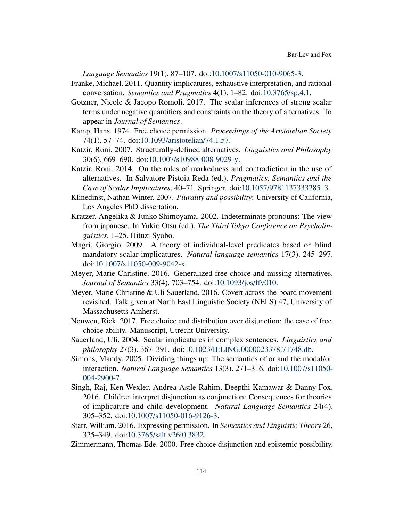*Language Semantics* 19(1). 87–107. doi[:10.1007/s11050-010-9065-3.](http://dx.doi.org/10.1007/s11050-010-9065-3)

- <span id="page-19-2"></span>Franke, Michael. 2011. Quantity implicatures, exhaustive interpretation, and rational conversation. *Semantics and Pragmatics* 4(1). 1–82. doi[:10.3765/sp.4.1.](http://dx.doi.org/10.3765/sp.4.1)
- <span id="page-19-8"></span>Gotzner, Nicole & Jacopo Romoli. 2017. The scalar inferences of strong scalar terms under negative quantifiers and constraints on the theory of alternatives. To appear in *Journal of Semantics*.
- <span id="page-19-0"></span>Kamp, Hans. 1974. Free choice permission. *Proceedings of the Aristotelian Society* 74(1). 57–74. doi[:10.1093/aristotelian/74.1.57.](http://dx.doi.org/10.1093/aristotelian/74.1.57)
- <span id="page-19-6"></span>Katzir, Roni. 2007. Structurally-defined alternatives. *Linguistics and Philosophy* 30(6). 669–690. doi[:10.1007/s10988-008-9029-y.](http://dx.doi.org/10.1007/s10988-008-9029-y)
- <span id="page-19-11"></span>Katzir, Roni. 2014. On the roles of markedness and contradiction in the use of alternatives. In Salvatore Pistoia Reda (ed.), *Pragmatics, Semantics and the Case of Scalar Implicatures*, 40–71. Springer. doi[:10.1057/9781137333285\\_3.](http://dx.doi.org/10.1057/9781137333285_3)
- <span id="page-19-13"></span>Klinedinst, Nathan Winter. 2007. *Plurality and possibility*: University of California, Los Angeles PhD dissertation.
- <span id="page-19-1"></span>Kratzer, Angelika & Junko Shimoyama. 2002. Indeterminate pronouns: The view from japanese. In Yukio Otsu (ed.), *The Third Tokyo Conference on Psycholinguistics*, 1–25. Hituzi Syobo.
- <span id="page-19-15"></span>Magri, Giorgio. 2009. A theory of individual-level predicates based on blind mandatory scalar implicatures. *Natural language semantics* 17(3). 245–297. doi[:10.1007/s11050-009-9042-x.](http://dx.doi.org/10.1007/s11050-009-9042-x)
- <span id="page-19-10"></span>Meyer, Marie-Christine. 2016. Generalized free choice and missing alternatives. *Journal of Semantics* 33(4). 703–754. doi[:10.1093/jos/ffv010.](http://dx.doi.org/10.1093/jos/ffv010)
- <span id="page-19-14"></span>Meyer, Marie-Christine & Uli Sauerland. 2016. Covert across-the-board movement revisited. Talk given at North East Linguistic Society (NELS) 47, University of Massachusetts Amherst.
- <span id="page-19-9"></span>Nouwen, Rick. 2017. Free choice and distribution over disjunction: the case of free choice ability. Manuscript, Utrecht University.
- <span id="page-19-5"></span>Sauerland, Uli. 2004. Scalar implicatures in complex sentences. *Linguistics and philosophy* 27(3). 367–391. doi[:10.1023/B:LING.0000023378.71748.db.](http://dx.doi.org/10.1023/B:LING.0000023378.71748.db)
- <span id="page-19-7"></span>Simons, Mandy. 2005. Dividing things up: The semantics of or and the modal/or interaction. *Natural Language Semantics* 13(3). 271–316. doi[:10.1007/s11050-](http://dx.doi.org/10.1007/s11050-004-2900-7) [004-2900-7.](http://dx.doi.org/10.1007/s11050-004-2900-7)
- <span id="page-19-3"></span>Singh, Raj, Ken Wexler, Andrea Astle-Rahim, Deepthi Kamawar & Danny Fox. 2016. Children interpret disjunction as conjunction: Consequences for theories of implicature and child development. *Natural Language Semantics* 24(4). 305–352. doi[:10.1007/s11050-016-9126-3.](http://dx.doi.org/10.1007/s11050-016-9126-3)
- <span id="page-19-4"></span>Starr, William. 2016. Expressing permission. In *Semantics and Linguistic Theory* 26, 325–349. doi[:10.3765/salt.v26i0.3832.](http://dx.doi.org/10.3765/salt.v26i0.3832)
- <span id="page-19-12"></span>Zimmermann, Thomas Ede. 2000. Free choice disjunction and epistemic possibility.